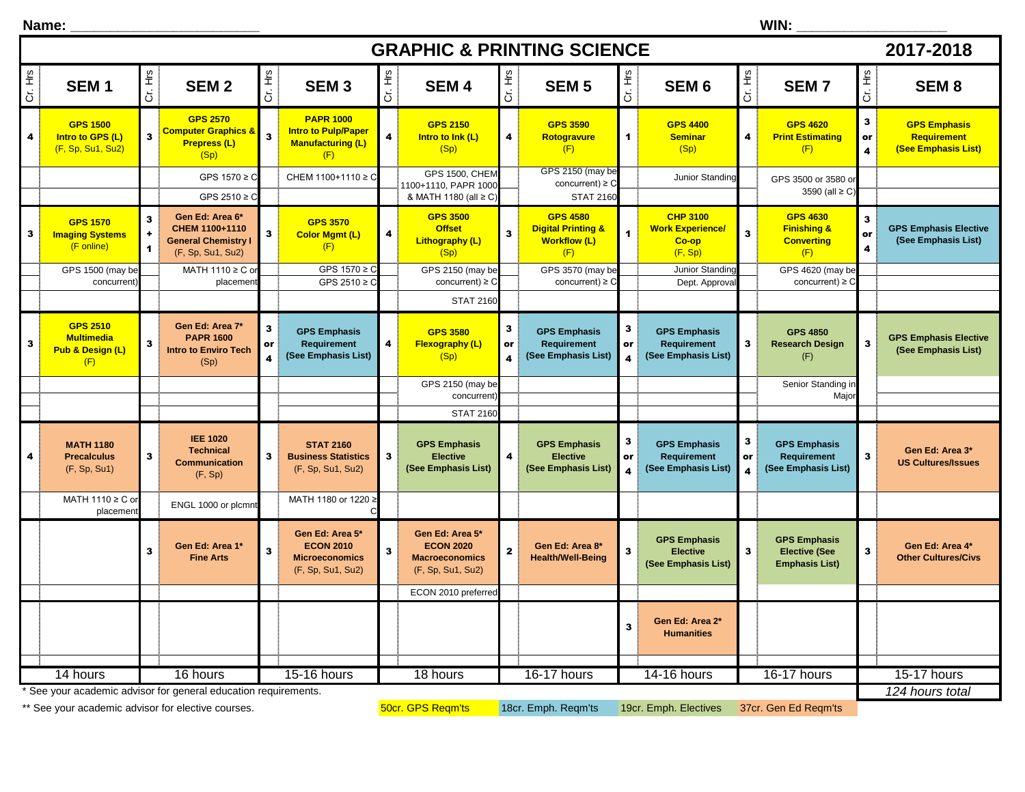| WIN:<br>Name: $\_$ |                                                                 |                                           |                                                                                      |                                    |                                                                                   |                         |                                                                                   |              |                                                                                |                                    |                                                                |                                    |                                                                       |                                               |                                                                  |
|--------------------|-----------------------------------------------------------------|-------------------------------------------|--------------------------------------------------------------------------------------|------------------------------------|-----------------------------------------------------------------------------------|-------------------------|-----------------------------------------------------------------------------------|--------------|--------------------------------------------------------------------------------|------------------------------------|----------------------------------------------------------------|------------------------------------|-----------------------------------------------------------------------|-----------------------------------------------|------------------------------------------------------------------|
|                    | 2017-2018<br><b>GRAPHIC &amp; PRINTING SCIENCE</b>              |                                           |                                                                                      |                                    |                                                                                   |                         |                                                                                   |              |                                                                                |                                    |                                                                |                                    |                                                                       |                                               |                                                                  |
| Cr. Hrs            | SEM <sub>1</sub>                                                | Cr. Hrs                                   | <b>SEM2</b>                                                                          | Cr. Hrs                            | SEM <sub>3</sub>                                                                  | Cr. Hrs                 | <b>SEM4</b>                                                                       | Cr. Hrs      | <b>SEM 5</b>                                                                   | Cr. Hrs                            | SEM <sub>6</sub>                                               | Cr. Hrs                            | <b>SEM7</b>                                                           | Cr. Hrs                                       | SEM <sub>8</sub>                                                 |
| 4                  | <b>GPS 1500</b><br>Intro to GPS (L)<br>(F, Sp, Su1, Su2)        | 3                                         | <b>GPS 2570</b><br><b>Computer Graphics &amp;</b><br><b>Prepress (L)</b><br>(Sp)     | 3                                  | <b>PAPR 1000</b><br><b>Intro to Pulp/Paper</b><br><b>Manufacturing (L)</b><br>(F) | $\overline{\mathbf{4}}$ | <b>GPS 2150</b><br>Intro to Ink (L)<br>(Sp)                                       | 4            | <b>GPS 3590</b><br>Rotogravure<br>(F)                                          | $\mathbf{1}$                       | <b>GPS 4400</b><br><b>Seminar</b><br>(Sp)                      | 4                                  | <b>GPS 4620</b><br><b>Print Estimating</b><br>(F)                     | $\mathbf{3}$<br>or<br>$\overline{\mathbf{4}}$ | <b>GPS Emphasis</b><br><b>Requirement</b><br>(See Emphasis List) |
|                    |                                                                 |                                           | GPS $1570 \ge C$<br>GPS 2510 ≥ C                                                     |                                    | CHEM 1100+1110 ≥ C                                                                |                         | <b>GPS 1500, CHEM</b><br>1100+1110, PAPR 1000<br>& MATH 1180 (all ≥ C)            |              | GPS 2150 (may be<br>concurrent) $\geq$ C<br><b>STAT 2160</b>                   |                                    | Junior Standing                                                |                                    | GPS 3500 or 3580 or<br>3590 (all ≥ C)                                 |                                               |                                                                  |
| 3                  | <b>GPS 1570</b><br><b>Imaging Systems</b><br>(F online)         | $\mathbf{3}$<br>÷<br>$\blacktriangleleft$ | Gen Ed: Area 6*<br>CHEM 1100+1110<br><b>General Chemistry I</b><br>(F, Sp, Su1, Su2) | 3                                  | <b>GPS 3570</b><br><b>Color Mgmt (L)</b><br>(F)                                   | 4                       | <b>GPS 3500</b><br><b>Offset</b><br>Lithography (L)<br>(Sp)                       | $\mathbf{3}$ | <b>GPS 4580</b><br><b>Digital Printing &amp;</b><br><b>Workflow (L)</b><br>(F) | $\overline{1}$                     | <b>CHP 3100</b><br><b>Work Experience/</b><br>Co-op<br>(F, Sp) | $\overline{\mathbf{3}}$            | <b>GPS 4630</b><br><b>Finishing &amp;</b><br><b>Converting</b><br>(F) | $\mathbf{3}$<br>or<br>4                       | <b>GPS Emphasis Elective</b><br>(See Emphasis List)              |
|                    | GPS 1500 (may be<br>concurrent                                  |                                           | MATH 1110 ≥ C o<br>placemen                                                          |                                    | GPS $1570 \ge C$<br>GPS 2510 $\geq$ C                                             |                         | GPS 2150 (may be<br>concurrent) $\geq$ C                                          |              | GPS 3570 (may be<br>concurrent) $\geq$ C                                       |                                    | Junior Standing<br>Dept. Approval                              |                                    | GPS 4620 (may be<br>concurrent) $\geq$ C                              |                                               |                                                                  |
|                    |                                                                 |                                           |                                                                                      |                                    |                                                                                   |                         | <b>STAT 2160</b>                                                                  |              |                                                                                |                                    |                                                                |                                    |                                                                       |                                               |                                                                  |
| 3                  | <b>GPS 2510</b><br><b>Multimedia</b><br>Pub & Design (L)<br>(F) | 3                                         | Gen Ed: Area 7*<br><b>PAPR 1600</b><br><b>Intro to Enviro Tech</b><br>(Sp)           | 3<br>or<br>$\overline{\mathbf{4}}$ | <b>GPS Emphasis</b><br>Requirement<br>(See Emphasis List)                         | 4                       | <b>GPS 3580</b><br>Flexography (L)<br>(Sp)                                        | 3<br>or<br>4 | <b>GPS Emphasis</b><br><b>Requirement</b><br>(See Emphasis List)               | 3<br>or<br>$\overline{a}$          | <b>GPS Emphasis</b><br>Requirement<br>(See Emphasis List)      | 3                                  | <b>GPS 4850</b><br><b>Research Design</b><br>(F)                      | 3                                             | <b>GPS Emphasis Elective</b><br>(See Emphasis List)              |
|                    |                                                                 |                                           |                                                                                      |                                    |                                                                                   |                         | GPS 2150 (may be<br>concurrent                                                    |              |                                                                                |                                    |                                                                |                                    | Senior Standing in<br>Major                                           |                                               |                                                                  |
|                    |                                                                 |                                           |                                                                                      |                                    |                                                                                   |                         | <b>STAT 2160</b>                                                                  |              |                                                                                |                                    |                                                                |                                    |                                                                       |                                               |                                                                  |
| 4                  | <b>MATH 1180</b><br><b>Precalculus</b><br>(F, Sp, Su1)          | 3                                         | <b>IEE 1020</b><br><b>Technical</b><br><b>Communication</b><br>(F, Sp)               | 3                                  | <b>STAT 2160</b><br><b>Business Statistics</b><br>(F, Sp, Su1, Su2)               | 3                       | <b>GPS Emphasis</b><br><b>Elective</b><br>(See Emphasis List)                     | 4            | <b>GPS Emphasis</b><br><b>Elective</b><br>(See Emphasis List)                  | 3<br>or<br>$\overline{\mathbf{4}}$ | <b>GPS Emphasis</b><br>Requirement<br>(See Emphasis List)      | 3<br>or<br>$\overline{\mathbf{A}}$ | <b>GPS Emphasis</b><br>Requirement<br>(See Emphasis List)             | 3                                             | Gen Ed: Area 3*<br><b>US Cultures/Issues</b>                     |
|                    | MATH 1110 ≥ C or<br>placemen                                    |                                           | ENGL 1000 or plcmnt                                                                  |                                    | MATH 1180 or 1220 ≥                                                               |                         |                                                                                   |              |                                                                                |                                    |                                                                |                                    |                                                                       |                                               |                                                                  |
|                    |                                                                 | 3                                         | Gen Ed: Area 1*<br><b>Fine Arts</b>                                                  | 3                                  | Gen Ed: Area 5*<br><b>ECON 2010</b><br><b>Microeconomics</b><br>(F, Sp, Su1, Su2) | 3                       | Gen Ed: Area 5*<br><b>ECON 2020</b><br><b>Macroeconomics</b><br>(F, Sp, Su1, Su2) | $\mathbf{2}$ | Gen Ed: Area 8*<br><b>Health/Well-Being</b>                                    | $\mathbf{3}$                       | <b>GPS Emphasis</b><br><b>Elective</b><br>(See Emphasis List)  | $\overline{\mathbf{3}}$            | <b>GPS Emphasis</b><br><b>Elective (See</b><br><b>Emphasis List)</b>  | 3                                             | Gen Ed: Area 4*<br><b>Other Cultures/Civs</b>                    |
|                    |                                                                 |                                           |                                                                                      |                                    |                                                                                   |                         | ECON 2010 preferred                                                               |              |                                                                                |                                    |                                                                |                                    |                                                                       |                                               |                                                                  |
|                    |                                                                 |                                           |                                                                                      |                                    |                                                                                   |                         |                                                                                   |              |                                                                                | $\mathbf{3}$                       | Gen Ed: Area 2*<br><b>Humanities</b>                           |                                    |                                                                       |                                               |                                                                  |
|                    | $14$ hours                                                      |                                           | 16 hours                                                                             |                                    | 15-16 hours                                                                       |                         | 18 hours                                                                          |              | 16-17 hours                                                                    |                                    | 14-16 hours                                                    |                                    | 16-17 hours                                                           |                                               | 15-17 hours                                                      |
|                    |                                                                 |                                           | * See your academic advisor for general education requirements.                      |                                    |                                                                                   |                         |                                                                                   |              |                                                                                |                                    |                                                                |                                    |                                                                       |                                               | 124 hours total                                                  |

\*\* See your academic advisor for elective courses.

50cr. GPS Reqm'ts 18cr. Emph. Reqm'ts 19cr. Emph. Electives 37cr. Gen Ed Reqm'ts